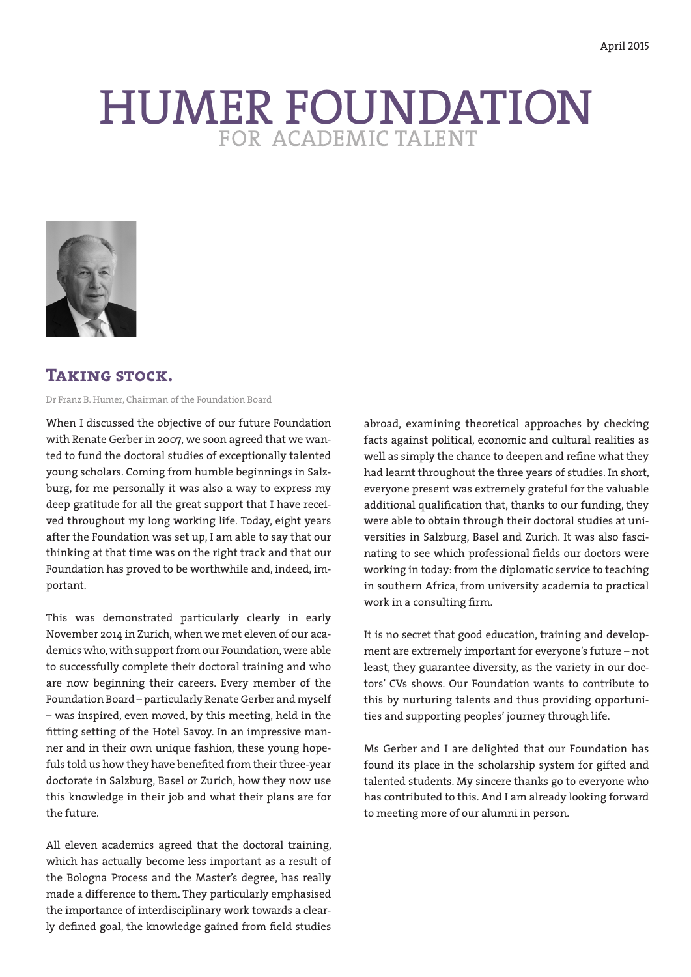# HUMER FOUNDATION



# **Taking stock.**

Dr Franz B. Humer, Chairman of the Foundation Board

When I discussed the objective of our future Foundation with Renate Gerber in 2007, we soon agreed that we wanted to fund the doctoral studies of exceptionally talented young scholars. Coming from humble beginnings in Salzburg, for me personally it was also a way to express my deep gratitude for all the great support that I have received throughout my long working life. Today, eight years after the Foundation was set up, I am able to say that our thinking at that time was on the right track and that our Foundation has proved to be worthwhile and, indeed, important.

This was demonstrated particularly clearly in early November 2014 in Zurich, when we met eleven of our academics who, with support from our Foundation, were able to successfully complete their doctoral training and who are now beginning their careers. Every member of the Foundation Board – particularly Renate Gerber and myself – was inspired, even moved, by this meeting, held in the fitting setting of the Hotel Savoy. In an impressive manner and in their own unique fashion, these young hopefuls told us how they have benefited from their three-year doctorate in Salzburg, Basel or Zurich, how they now use this knowledge in their job and what their plans are for the future.

All eleven academics agreed that the doctoral training, which has actually become less important as a result of the Bologna Process and the Master's degree, has really made a difference to them. They particularly emphasised the importance of interdisciplinary work towards a clearly defined goal, the knowledge gained from field studies

abroad, examining theoretical approaches by checking facts against political, economic and cultural realities as well as simply the chance to deepen and refine what they had learnt throughout the three years of studies. In short, everyone present was extremely grateful for the valuable additional qualification that, thanks to our funding, they were able to obtain through their doctoral studies at universities in Salzburg, Basel and Zurich. It was also fascinating to see which professional fields our doctors were working in today: from the diplomatic service to teaching in southern Africa, from university academia to practical work in a consulting firm.

It is no secret that good education, training and development are extremely important for everyone's future – not least, they guarantee diversity, as the variety in our doctors' CVs shows. Our Foundation wants to contribute to this by nurturing talents and thus providing opportunities and supporting peoples' journey through life.

Ms Gerber and I are delighted that our Foundation has found its place in the scholarship system for gifted and talented students. My sincere thanks go to everyone who has contributed to this. And I am already looking forward to meeting more of our alumni in person.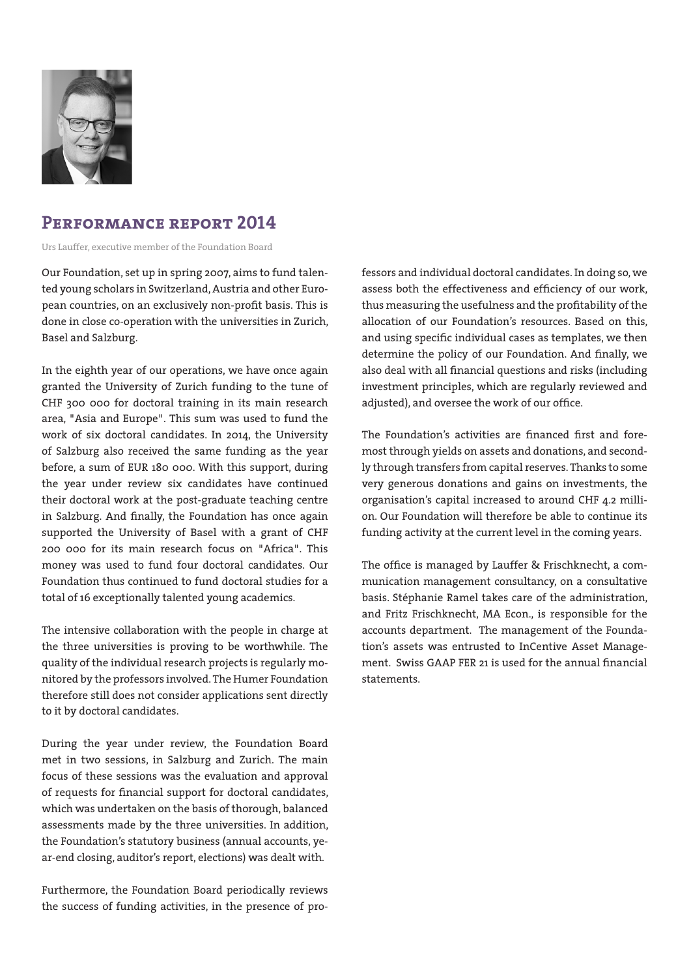

# **Performance report 2014**

Urs Lauffer, executive member of the Foundation Board

Our Foundation, set up in spring 2007, aims to fund talented young scholars in Switzerland, Austria and other European countries, on an exclusively non-profit basis. This is done in close co-operation with the universities in Zurich, Basel and Salzburg.

In the eighth year of our operations, we have once again granted the University of Zurich funding to the tune of CHF 300 000 for doctoral training in its main research area, "Asia and Europe". This sum was used to fund the work of six doctoral candidates. In 2014, the University of Salzburg also received the same funding as the year before, a sum of EUR 180 000. With this support, during the year under review six candidates have continued their doctoral work at the post-graduate teaching centre in Salzburg. And finally, the Foundation has once again supported the University of Basel with a grant of CHF 200 000 for its main research focus on "Africa". This money was used to fund four doctoral candidates. Our Foundation thus continued to fund doctoral studies for a total of 16 exceptionally talented young academics.

The intensive collaboration with the people in charge at the three universities is proving to be worthwhile. The quality of the individual research projects is regularly monitored by the professors involved. The Humer Foundation therefore still does not consider applications sent directly to it by doctoral candidates.

During the year under review, the Foundation Board met in two sessions, in Salzburg and Zurich. The main focus of these sessions was the evaluation and approval of requests for financial support for doctoral candidates, which was undertaken on the basis of thorough, balanced assessments made by the three universities. In addition, the Foundation's statutory business (annual accounts, year-end closing, auditor's report, elections) was dealt with.

Furthermore, the Foundation Board periodically reviews the success of funding activities, in the presence of professors and individual doctoral candidates. In doing so, we assess both the effectiveness and efficiency of our work, thus measuring the usefulness and the profitability of the allocation of our Foundation's resources. Based on this, and using specific individual cases as templates, we then determine the policy of our Foundation. And finally, we also deal with all financial questions and risks (including investment principles, which are regularly reviewed and adjusted), and oversee the work of our office.

The Foundation's activities are financed first and foremost through yields on assets and donations, and secondly through transfers from capital reserves. Thanks to some very generous donations and gains on investments, the organisation's capital increased to around CHF 4.2 million. Our Foundation will therefore be able to continue its funding activity at the current level in the coming years.

The office is managed by Lauffer & Frischknecht, a communication management consultancy, on a consultative basis. Stéphanie Ramel takes care of the administration, and Fritz Frischknecht, MA Econ., is responsible for the accounts department. The management of the Foundation's assets was entrusted to InCentive Asset Management. Swiss GAAP FER 21 is used for the annual financial statements.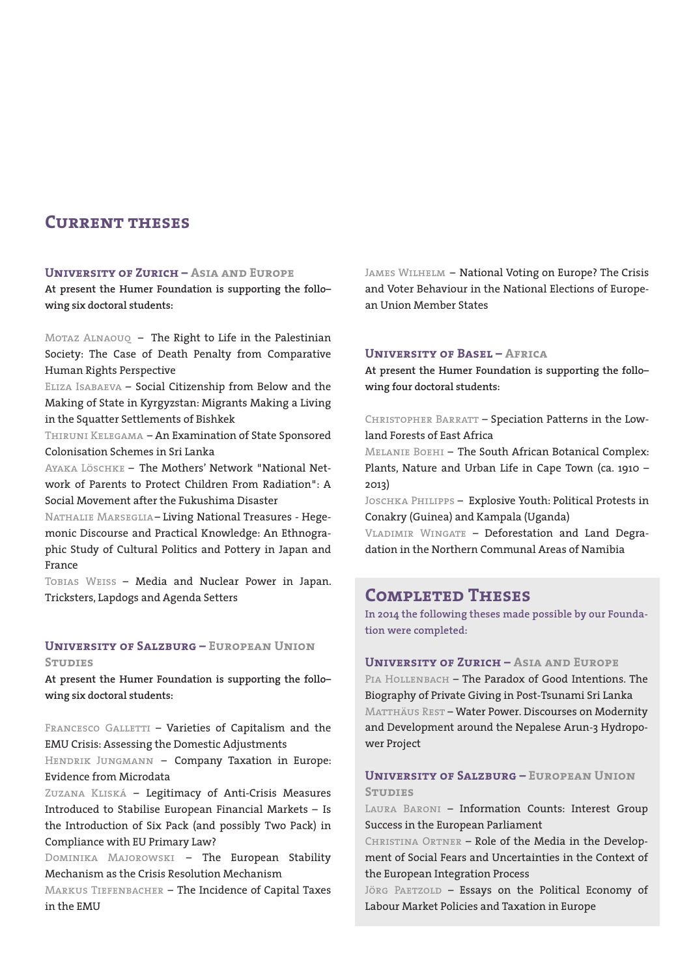# **Current theses**

#### **University of Zurich – Asia and Europe**

**At present the Humer Foundation is supporting the follo– wing six doctoral students:**

Motaz Alnaouq – The Right to Life in the Palestinian Society: The Case of Death Penalty from Comparative Human Rights Perspective

Eliza Isabaeva – Social Citizenship from Below and the Making of State in Kyrgyzstan: Migrants Making a Living in the Squatter Settlements of Bishkek

Thiruni Kelegama – An Examination of State Sponsored Colonisation Schemes in Sri Lanka

Ayaka Löschke – The Mothers' Network "National Network of Parents to Protect Children From Radiation": A Social Movement after the Fukushima Disaster

Nathalie Marseglia – Living National Treasures - Hegemonic Discourse and Practical Knowledge: An Ethnographic Study of Cultural Politics and Pottery in Japan and France

Tobias Weiss – Media and Nuclear Power in Japan. Tricksters, Lapdogs and Agenda Setters

#### **University of Salzburg – European Union STUDIES**

**At present the Humer Foundation is supporting the follo– wing six doctoral students:**

FRANCESCO GALLETTI - Varieties of Capitalism and the EMU Crisis: Assessing the Domestic Adjustments

HENDRIK JUNGMANN - Company Taxation in Europe: Evidence from Microdata

Zuzana Kliská – Legitimacy of Anti-Crisis Measures Introduced to Stabilise European Financial Markets – Is the Introduction of Six Pack (and possibly Two Pack) in Compliance with EU Primary Law?

Dominika Majorowski – The European Stability Mechanism as the Crisis Resolution Mechanism

Markus Tiefenbacher – The Incidence of Capital Taxes in the EMU

JAMES WILHELM - National Voting on Europe? The Crisis and Voter Behaviour in the National Elections of European Union Member States

#### **University of Basel – Africa**

**At present the Humer Foundation is supporting the follo– wing four doctoral students:**

CHRISTOPHER BARRATT - Speciation Patterns in the Lowland Forests of East Africa

Melanie Boehi – The South African Botanical Complex: Plants, Nature and Urban Life in Cape Town (ca. 1910 – 2013)

Joschka Philipps – Explosive Youth: Political Protests in Conakry (Guinea) and Kampala (Uganda)

VLADIMIR WINGATE - Deforestation and Land Degradation in the Northern Communal Areas of Namibia

# **Completed Theses**

**In 2014 the following theses made possible by our Foundation were completed:**

**University of Zurich – Asia and Europe** PIA HOLLENBACH - The Paradox of Good Intentions. The Biography of Private Giving in Post-Tsunami Sri Lanka MATTHÄUS REST - Water Power. Discourses on Modernity and Development around the Nepalese Arun-3 Hydropower Project

#### **University of Salzburg – European Union STILLERS**

Laura Baroni – Information Counts: Interest Group Success in the European Parliament

CHRISTINA ORTNER - Role of the Media in the Development of Social Fears and Uncertainties in the Context of the European Integration Process

JÖRG PAETZOLD - Essays on the Political Economy of Labour Market Policies and Taxation in Europe